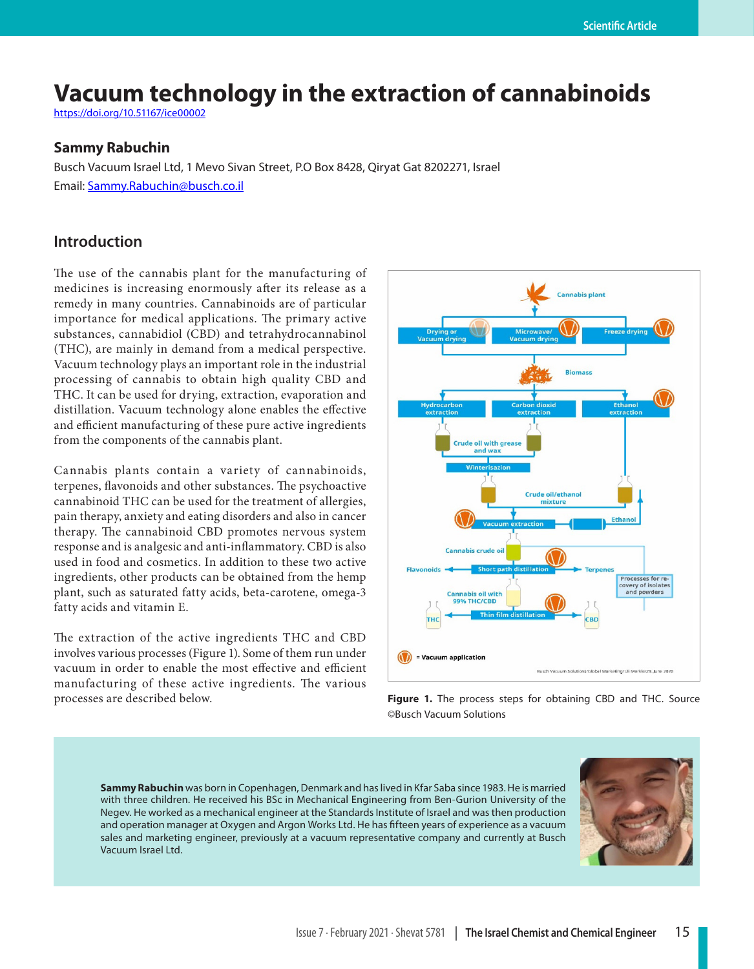# **Vacuum technology in the extraction of cannabinoids**

https://doi.org/10.51167/ice00002

#### **Sammy Rabuchin**

Busch Vacuum Israel Ltd, 1 Mevo Sivan Street, P.O Box 8428, Qiryat Gat 8202271, Israel Email: [Sammy.Rabuchin@busch.co.il](mailto:Sammy.Rabuchin@busch.co.il)

## **Introduction**

The use of the cannabis plant for the manufacturing of medicines is increasing enormously after its release as a remedy in many countries. Cannabinoids are of particular importance for medical applications. The primary active substances, cannabidiol (CBD) and tetrahydrocannabinol (THC), are mainly in demand from a medical perspective. Vacuum technology plays an important role in the industrial processing of cannabis to obtain high quality CBD and THC. It can be used for drying, extraction, evaporation and distillation. Vacuum technology alone enables the effective and efficient manufacturing of these pure active ingredients from the components of the cannabis plant.

Cannabis plants contain a variety of cannabinoids, terpenes, flavonoids and other substances. The psychoactive cannabinoid THC can be used for the treatment of allergies, pain therapy, anxiety and eating disorders and also in cancer therapy. The cannabinoid CBD promotes nervous system response and is analgesic and anti-inflammatory. CBD is also used in food and cosmetics. In addition to these two active ingredients, other products can be obtained from the hemp plant, such as saturated fatty acids, beta-carotene, omega-3 fatty acids and vitamin E.

The extraction of the active ingredients THC and CBD involves various processes (Figure 1). Some of them run under vacuum in order to enable the most effective and efficient manufacturing of these active ingredients. The various processes are described below. **Figure 1.** The process steps for obtaining CBD and THC. Source



©Busch Vacuum Solutions

**Sammy Rabuchin** was born in Copenhagen, Denmark and has lived in Kfar Saba since 1983. He is married with three children. He received his BSc in Mechanical Engineering from Ben-Gurion University of the Negev. He worked as a mechanical engineer at the Standards Institute of Israel and was then production and operation manager at Oxygen and Argon Works Ltd. He has fifteen years of experience as a vacuum sales and marketing engineer, previously at a vacuum representative company and currently at Busch Vacuum Israel Ltd.

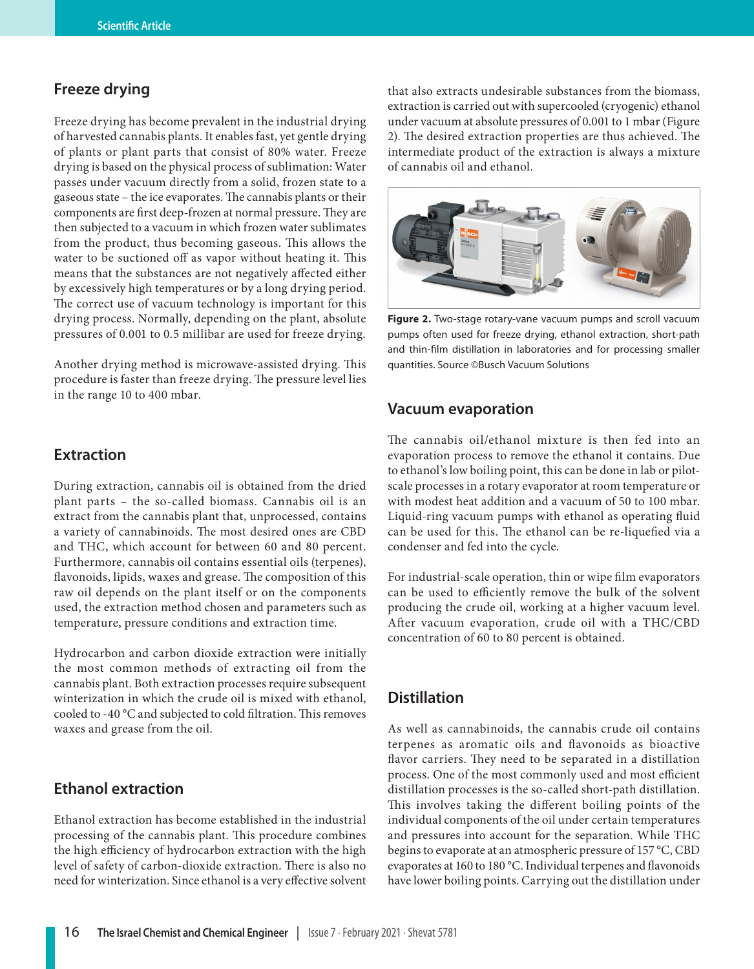### **Freeze drying**

Freeze drying has become prevalent in the industrial drying of harvested cannabis plants. It enables fast, yet gentle drying of plants or plant parts that consist of 80% water. Freeze drying is based on the physical process of sublimation: Water passes under vacuum directly from a solid, frozen state to a gaseous state – the ice evaporates. The cannabis plants or their components are first deep-frozen at normal pressure. They are then subjected to a vacuum in which frozen water sublimates from the product, thus becoming gaseous. This allows the water to be suctioned off as vapor without heating it. This means that the substances are not negatively affected either by excessively high temperatures or by a long drying period. The correct use of vacuum technology is important for this drying process. Normally, depending on the plant, absolute pressures of 0.001 to 0.5 millibar are used for freeze drying.

Another drying method is microwave-assisted drying. This procedure is faster than freeze drying. The pressure level lies in the range 10 to 400 mbar.

### **Extraction**

During extraction, cannabis oil is obtained from the dried plant parts – the so-called biomass. Cannabis oil is an extract from the cannabis plant that, unprocessed, contains a variety of cannabinoids. The most desired ones are CBD and THC, which account for between 60 and 80 percent. Furthermore, cannabis oil contains essential oils (terpenes), flavonoids, lipids, waxes and grease. The composition of this raw oil depends on the plant itself or on the components used, the extraction method chosen and parameters such as temperature, pressure conditions and extraction time.

Hydrocarbon and carbon dioxide extraction were initially the most common methods of extracting oil from the cannabis plant. Both extraction processes require subsequent winterization in which the crude oil is mixed with ethanol, cooled to -40 °C and subjected to cold filtration. This removes waxes and grease from the oil.

## **Ethanol extraction**

Ethanol extraction has become established in the industrial processing of the cannabis plant. This procedure combines the high efficiency of hydrocarbon extraction with the high level of safety of carbon-dioxide extraction. There is also no need for winterization. Since ethanol is a very effective solvent that also extracts undesirable substances from the biomass, extraction is carried out with supercooled (cryogenic) ethanol under vacuum at absolute pressures of 0.001 to 1 mbar (Figure 2). The desired extraction properties are thus achieved. The intermediate product of the extraction is always a mixture of cannabis oil and ethanol.



**Figure 2.** Two-stage rotary-vane vacuum pumps and scroll vacuum pumps often used for freeze drying, ethanol extraction, short-path and thin-film distillation in laboratories and for processing smaller quantities. Source ©Busch Vacuum Solutions

### **Vacuum evaporation**

The cannabis oil/ethanol mixture is then fed into an evaporation process to remove the ethanol it contains. Due to ethanol's low boiling point, this can be done in lab or pilotscale processes in a rotary evaporator at room temperature or with modest heat addition and a vacuum of 50 to 100 mbar. Liquid-ring vacuum pumps with ethanol as operating fluid can be used for this. The ethanol can be re-liquefied via a condenser and fed into the cycle.

For industrial-scale operation, thin or wipe film evaporators can be used to efficiently remove the bulk of the solvent producing the crude oil, working at a higher vacuum level. After vacuum evaporation, crude oil with a THC/CBD concentration of 60 to 80 percent is obtained.

## **Distillation**

As well as cannabinoids, the cannabis crude oil contains terpenes as aromatic oils and flavonoids as bioactive flavor carriers. They need to be separated in a distillation process. One of the most commonly used and most efficient distillation processes is the so-called short-path distillation. This involves taking the different boiling points of the individual components of the oil under certain temperatures and pressures into account for the separation. While THC begins to evaporate at an atmospheric pressure of 157 °C, CBD evaporates at 160 to 180 °C. Individual terpenes and flavonoids have lower boiling points. Carrying out the distillation under